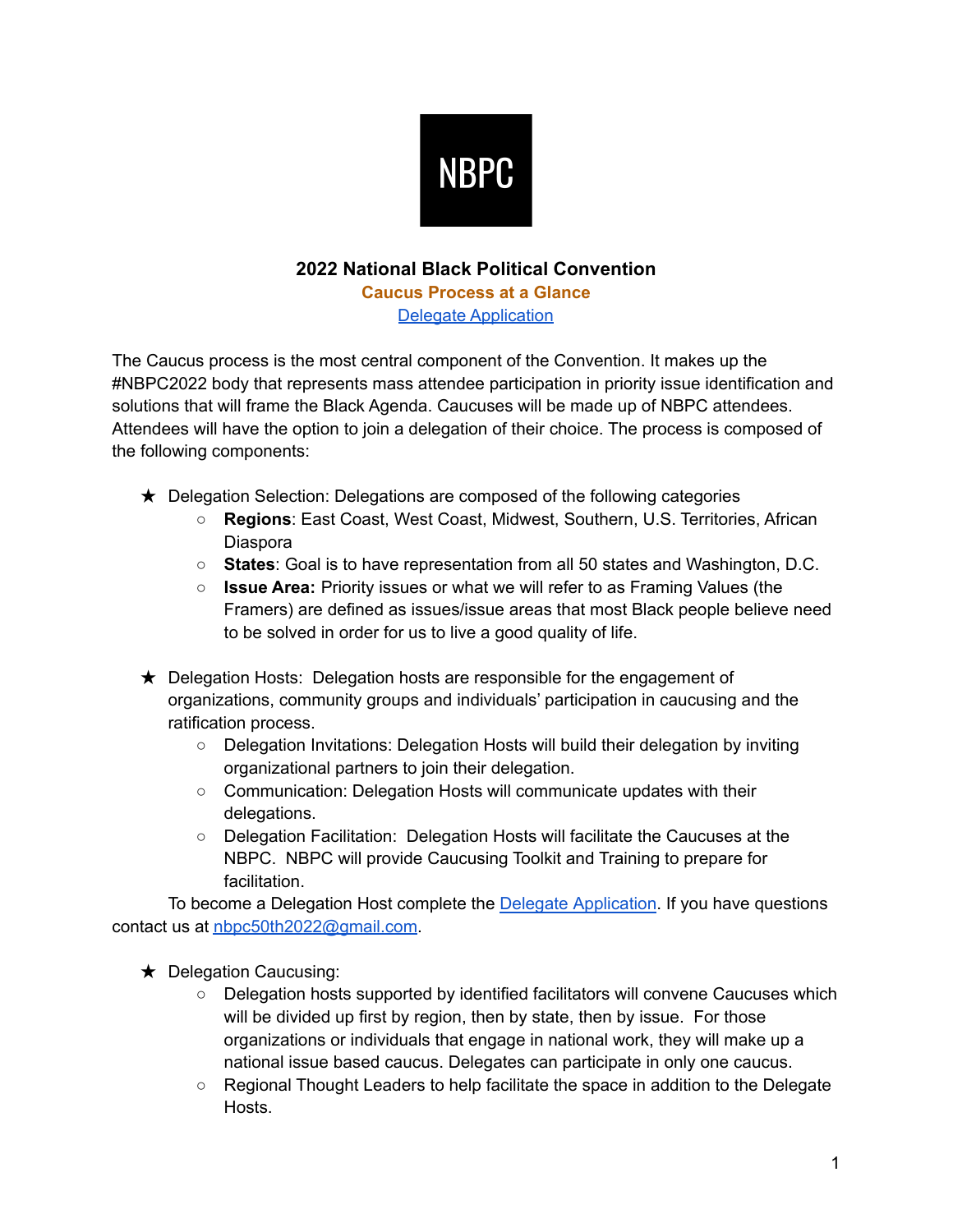

## **2022 National Black Political Convention**

**Caucus Process at a Glance** Delegate [Application](https://forms.gle/oiVYHaaZAkNfrC1u6)

The Caucus process is the most central component of the Convention. It makes up the #NBPC2022 body that represents mass attendee participation in priority issue identification and solutions that will frame the Black Agenda. Caucuses will be made up of NBPC attendees. Attendees will have the option to join a delegation of their choice. The process is composed of the following components:

- ★ Delegation Selection: Delegations are composed of the following categories
	- **Regions**: East Coast, West Coast, Midwest, Southern, U.S. Territories, African Diaspora
	- **States**: Goal is to have representation from all 50 states and Washington, D.C.
	- **Issue Area:** Priority issues or what we will refer to as Framing Values (the Framers) are defined as issues/issue areas that most Black people believe need to be solved in order for us to live a good quality of life.
- ★ Delegation Hosts: Delegation hosts are responsible for the engagement of organizations, community groups and individuals' participation in caucusing and the ratification process.
	- Delegation Invitations: Delegation Hosts will build their delegation by inviting organizational partners to join their delegation.
	- Communication: Delegation Hosts will communicate updates with their delegations.
	- Delegation Facilitation: Delegation Hosts will facilitate the Caucuses at the NBPC. NBPC will provide Caucusing Toolkit and Training to prepare for facilitation.

To become a Delegation Host complete the Delegate [Application](https://forms.gle/oiVYHaaZAkNfrC1u6). If you have questions contact us at [nbpc50th2022@gmail.com](mailto:nbpc50th2022@gmail.com).

★ Delegation Caucusing:

- Delegation hosts supported by identified facilitators will convene Caucuses which will be divided up first by region, then by state, then by issue. For those organizations or individuals that engage in national work, they will make up a national issue based caucus. Delegates can participate in only one caucus.
- Regional Thought Leaders to help facilitate the space in addition to the Delegate **Hosts**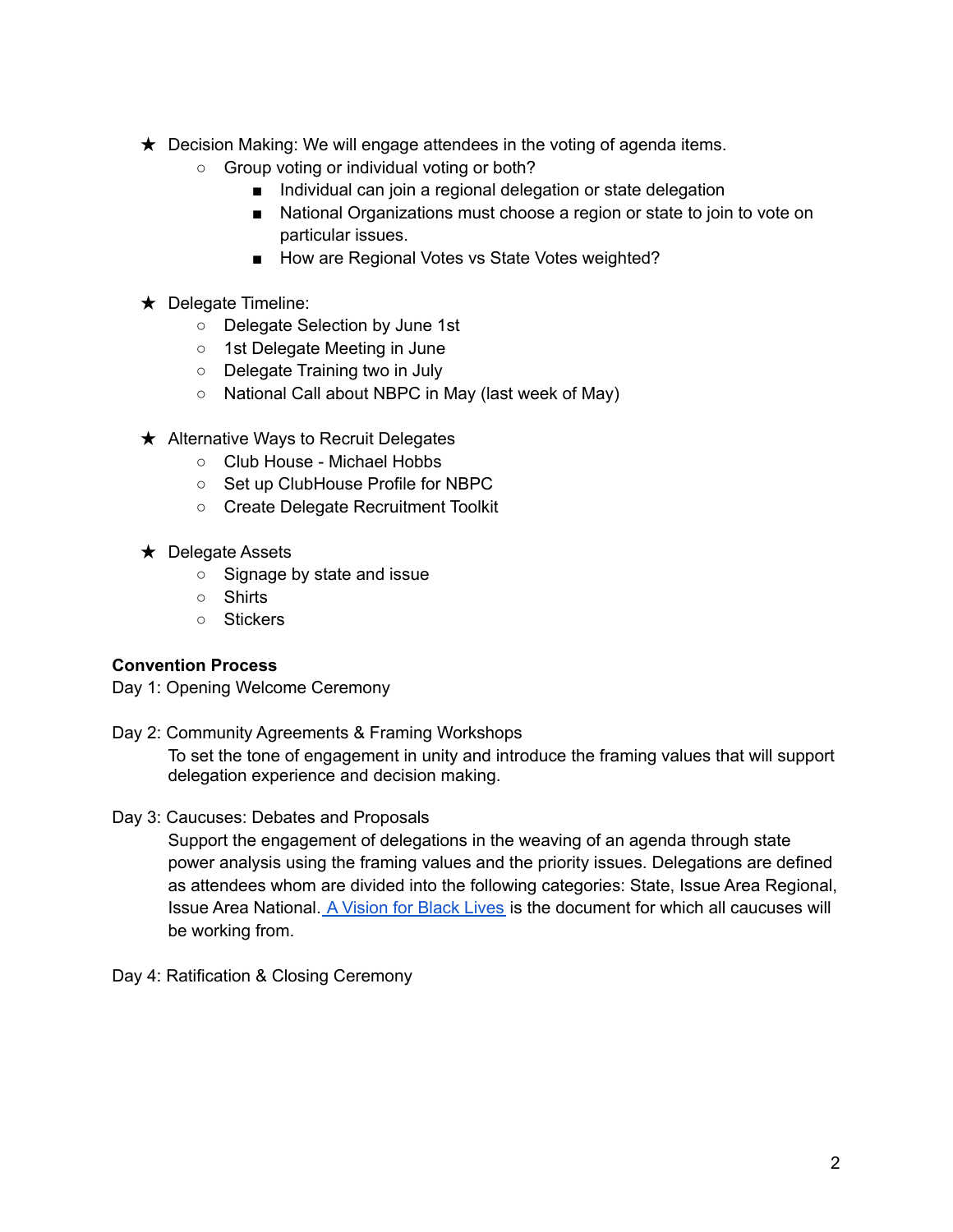- **★** Decision Making: We will engage attendees in the voting of agenda items.
	- Group voting or individual voting or both?
		- Individual can join a regional delegation or state delegation
		- National Organizations must choose a region or state to join to vote on particular issues.
		- How are Regional Votes vs State Votes weighted?
- ★ Delegate Timeline:
	- Delegate Selection by June 1st
	- 1st Delegate Meeting in June
	- Delegate Training two in July
	- National Call about NBPC in May (last week of May)
- ★ Alternative Ways to Recruit Delegates
	- Club House Michael Hobbs
	- Set up ClubHouse Profile for NBPC
	- Create Delegate Recruitment Toolkit
- ★ Delegate Assets
	- Signage by state and issue
	- Shirts
	- Stickers

## **Convention Process**

Day 1: Opening Welcome Ceremony

Day 2: Community Agreements & Framing Workshops

To set the tone of engagement in unity and introduce the framing values that will support delegation experience and decision making.

Day 3: Caucuses: Debates and Proposals

Support the engagement of delegations in the weaving of an agenda through state power analysis using the framing values and the priority issues. Delegations are defined as attendees whom are divided into the following categories: State, Issue Area Regional, Issue Area National. A [Vision](https://m4bl.org/policy-platforms/) for Black Lives is the document for which all caucuses will be working from.

Day 4: Ratification & Closing Ceremony